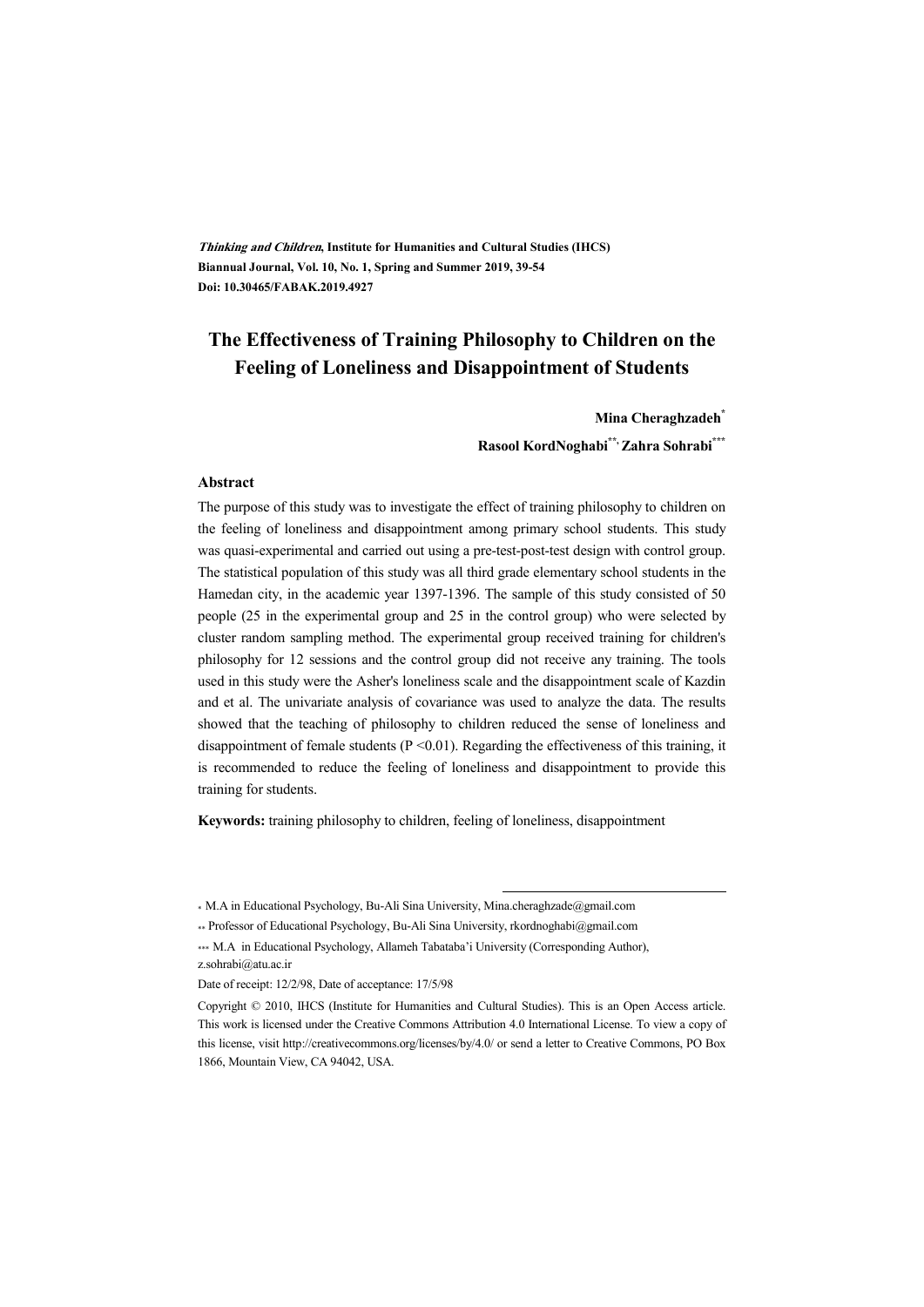**Thinking and Children, Institute for Humanities and Cultural Studies (IHCS) Biannual Journal, Vol. 10, No. 1, Spring and Summer 2019, 39-54 Doi: 10.30465/FABAK.2019.4927** 

# **The Effectiveness of Training Philosophy to Children on the Feeling of Loneliness and Disappointment of Students**

#### **Mina Cheraghzadeh\***

**Rasool KordNoghabi\*\*, Zahra Sohrabi\*\*\***

#### **Abstract**

The purpose of this study was to investigate the effect of training philosophy to children on the feeling of loneliness and disappointment among primary school students. This study was quasi-experimental and carried out using a pre-test-post-test design with control group. The statistical population of this study was all third grade elementary school students in the Hamedan city, in the academic year 1397-1396. The sample of this study consisted of 50 people (25 in the experimental group and 25 in the control group) who were selected by cluster random sampling method. The experimental group received training for children's philosophy for 12 sessions and the control group did not receive any training. The tools used in this study were the Asher's loneliness scale and the disappointment scale of Kazdin and et al. The univariate analysis of covariance was used to analyze the data. The results showed that the teaching of philosophy to children reduced the sense of loneliness and disappointment of female students ( $P \le 0.01$ ). Regarding the effectiveness of this training, it is recommended to reduce the feeling of loneliness and disappointment to provide this training for students.

**Keywords:** training philosophy to children, feeling of loneliness, disappointment

:

<sup>\*</sup> M.A in Educational Psychology, Bu-Ali Sina University, Mina.cheraghzade@gmail.com

<sup>\*\*</sup> Professor of Educational Psychology, Bu-Ali Sina University, rkordnoghabi@gmail.com

<sup>\*\*\*</sup> M.A in Educational Psychology, Allameh Tabataba'i University (Corresponding Author), z.sohrabi@atu.ac.ir

Date of receipt: 12/2/98, Date of acceptance: 17/5/98

Copyright © 2010, IHCS (Institute for Humanities and Cultural Studies). This is an Open Access article. This work is licensed under the Creative Commons Attribution 4.0 International License. To view a copy of this license, visit http://creativecommons.org/licenses/by/4.0/ or send a letter to Creative Commons, PO Box 1866, Mountain View, CA 94042, USA.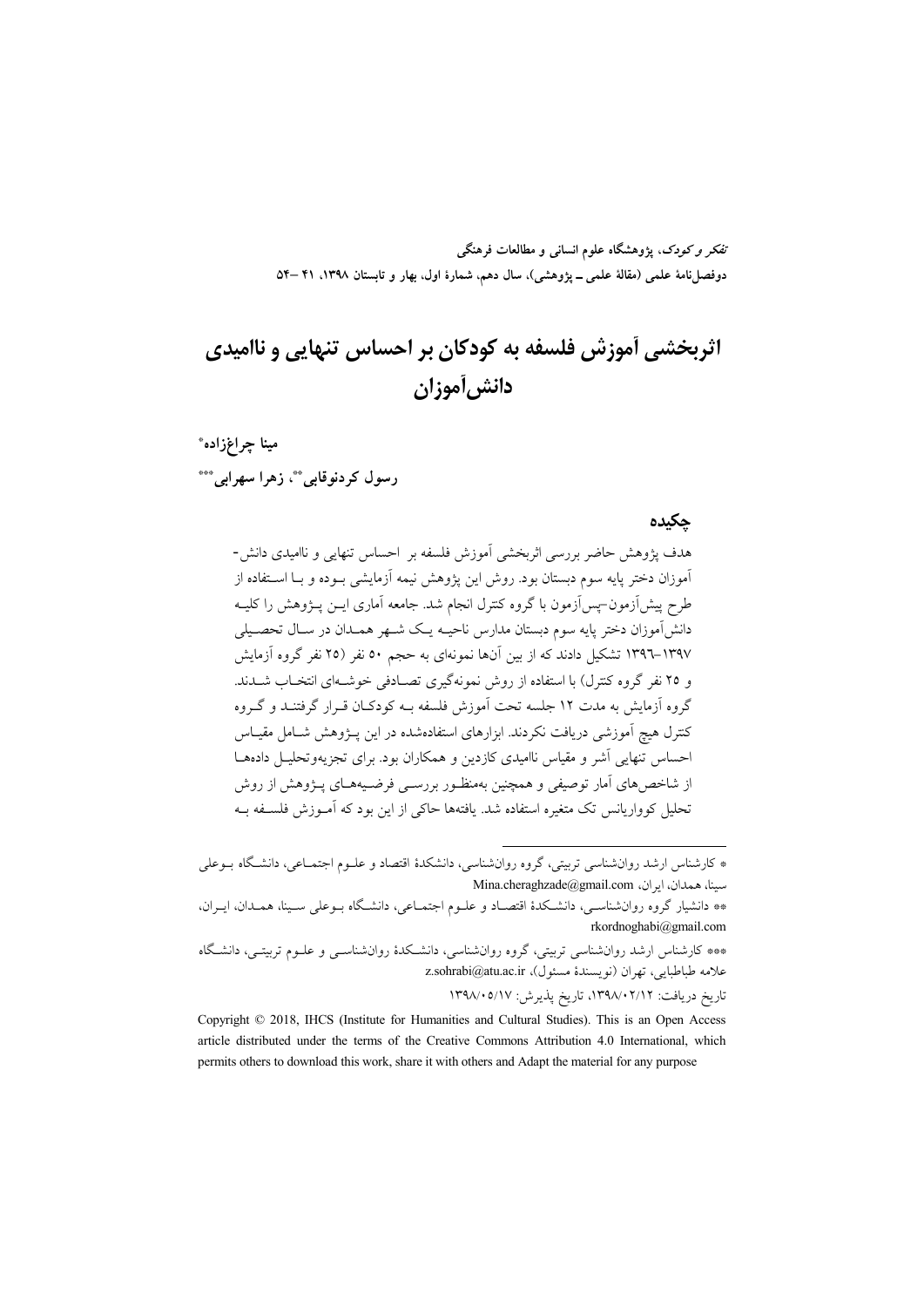تفکر و کودک، یژوهشگاه علوم انسانی و مطالعات فرهنگی دوفصلiاههٔ علمی (مقالهٔ علمی ــ پژوهشی)، سال دهم، شمارهٔ اول، بهار و تابستان ۱۳۹۸، ۴۱ –۵۴

# اثریخشی آموزش فلسفه به کودکان بر احساس تنهایی و ناامیدی دانش أموزان

مينا چراغزاده\* رسول کردنوقایی \*\*، زهرا سهرابی \*\*\*

#### حكىدە

هدف پژوهش حاضر بررسی اثربخشی آموزش فلسفه بر احساس تنهایی و ناامیدی دانش-آموزان دختر پایه سوم دبستان بود. روش این پژوهش نیمه آزمایشی بــوده و بــا اســتفاده از طرح پیش[زمون–پس[زمون با گروه کنترل انجام شد. جامعه آماری ایــن پــژوهش را کلیــه دانش آموزان دختر پایه سوم دبستان مدارس ناحیــه یــک شــهر همــدان در ســال تحصــیلی ۱۳۹۷–۱۳۹۲ تشکیل دادند که از بین آنها نمونهای به حجم ٥٠ نفر (٢٥ نفر گروه آزمایش و ۲۵ نفر گروه کنترل) با استفاده از روش نمونهگیری تصـادفی خوشـهای انتخـاب شــدند. گروه آزمایش به مدت ۱۲ جلسه تحت آموزش فلسفه بـه کودکـان قـرار گرفتنــد و گــروه کنترل هیچ آموزشی دریافت نکردند. ابزارهای استفادهشده در این پــژوهش شــامل مقیــاس احساس تنهایی آشر و مقیاس ناامیدی کازدین و همکاران بود. برای تجزیهوتحلیـل دادههــا از شاخصهای آمار توصیفی و همچنین بهمنظـور بررسـی فرضـیههـای پـژوهش از روش تحلیل کوواریانس تک متغیره استفاده شد. یافتهها حاکی از این بود که آمـوزش فلسـفه بـه

تاريخ دريافت: ١٣٩٨/٠٢/١٢، تاريخ يذيرش: ١٣٩٨/٠٥/١٧

<sup>\*</sup> کارشناس ارشد روانشناسی تربیتی، گروه روانشناسی، دانشکدهٔ اقتصاد و علـوم اجتمـاعی، دانشـگاه بــوعلی Mina.cheraghzade@gmail.com سينا، همدان، ايران،

<sup>\*\*</sup> دانشیار گروه روانشناسـی، دانشـكدهٔ اقتصـاد و علــوم اجتمــاعی، دانشــگاه بــوعلی ســینا، همــدان، ایــران، rkordnoghabi@gmail.com

<sup>\*\*\*</sup> کارشناس ارشد روانشناسی تربیتی، گروه روانشناسی، دانشکدهٔ روانشناسـی و علــوم تربیتــ <sub>،</sub>، دانشـگاه علامه طباطبايي، تهران (نويسندهٔ مسئول)، z.sohrabi@atu.ac.ir

Copyright © 2018, IHCS (Institute for Humanities and Cultural Studies). This is an Open Access article distributed under the terms of the Creative Commons Attribution 4.0 International, which permits others to download this work, share it with others and Adapt the material for any purpose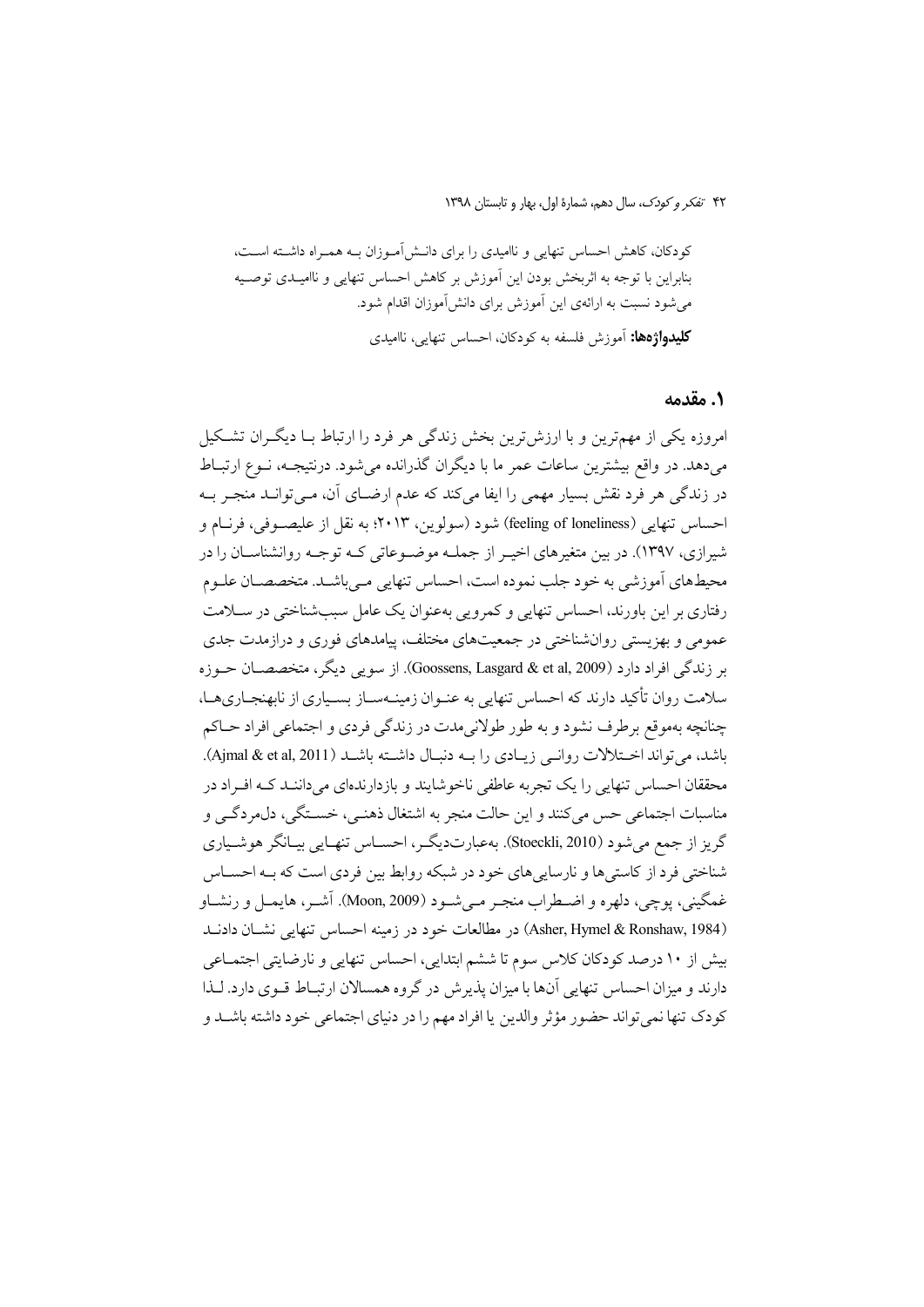کودکان، کاهش احساس تنهایی و ناامیدی را برای دانـش[مـوزان بـه همـراه داشـته اسـت، بنابراین با توجه به اثربخش بودن این آموزش بر کاهش احساس تنهایی و ناامیـدی توصـیه می شود نسبت به ارائهی این آموزش برای دانش آموزان اقدام شود. **کلیدواژهها:** آموزش فلسفه به کودکان، احساس تنهایی، ناامیدی

#### ١. مقدمه

امروزه یکی از مهمترین و با ارزشترین بخش زندگی هر فرد را ارتباط بـا دیگـران تشـکیل می،دهد. در واقع بیشترین ساعات عمر ما با دیگران گذرانده می شود. درنتیجـه، نــوع ارتبــاط در زندگی هر فرد نقش بسیار مهمی را ایفا میکند که عدم ارضـای آن، مـیتوانــد منجــر بــه احساس تنهايي (feeling of loneliness) شود (سولوين، ۲۰۱۳؛ به نقل از عليصـوفي، فرنــام و شیرازی، ۱۳۹۷). در بین متغیرهای اخیـر از جملــه موضــوعاتی کــه توجــه روانشناســان را در محیطهای اَموزشی به خود جلب نموده است، احساس تنهایی مـیباشـد. متخصصـان علـوم رفتاری بر این باورند، احساس تنهایی و کمرویی بهعنوان یک عامل سببشناختی در سـلامت عمومي و بهزيستي روانشناختي در جمعيتهاي مختلف، پيامدهاي فوري و درازمدت جدي بر زندگی افراد دارد (Goossens, Lasgard & et al, 2009). از سویبی دیگر، متخصصـان حــوزه سلامت روان تأکید دارند که احساس تنهایی به عنـوان زمینــهســاز بســیاری از نابهنجــاریهــا، چنانچه بهموقع برطرف نشود و به طور طولانیمدت در زندگی فردی و اجتماعی افراد حـاکم باشد، می تواند اختلالات روانبی زیبادی را بـه دنبـال داشـته باشـد (Ajmal & et al, 2011). محققان احساس تنهایی را یک تجربه عاطفی ناخوشایند و بازدارندهای میداننـد کـه افـراد در مناسبات اجتماعي حس مي كنند و اين حالت منجر به اشتغال ذهنـي، خسـتگي، دل.مردگـي و گریز از جمع میشود (Stoeckli, 2010). بهعبارتدیگر، احسـاس تنهـایی بیـانگر هوشـیاری شناختی فرد از کاستی ها و نارسایی های خود در شبکه روابط بین فردی است که بـه احسـاس غمگيني، يوچي، دلهره و اضـطراب منجـر مـي شـود (Moon, 2009). آشـر، هايمـل و رنشـاو (Asher, Hymel & Ronshaw, 1984) در مطالعات خود در زمینه احساس تنهایی نشبان دادنید بیش از ۱۰ درصد کودکان کلاس سوم تا ششم ابتدایی، احساس تنهایی و نارضایتی اجتمـاعی دارند و میزان احساس تنهایی آنها با میزان پذیرش در گروه همسالان ارتبـاط قـوی دارد. لـذا كودك تنها نمي تواند حضور مؤثر والدين يا افراد مهم را در دنياي اجتماعي خود داشته باشـد و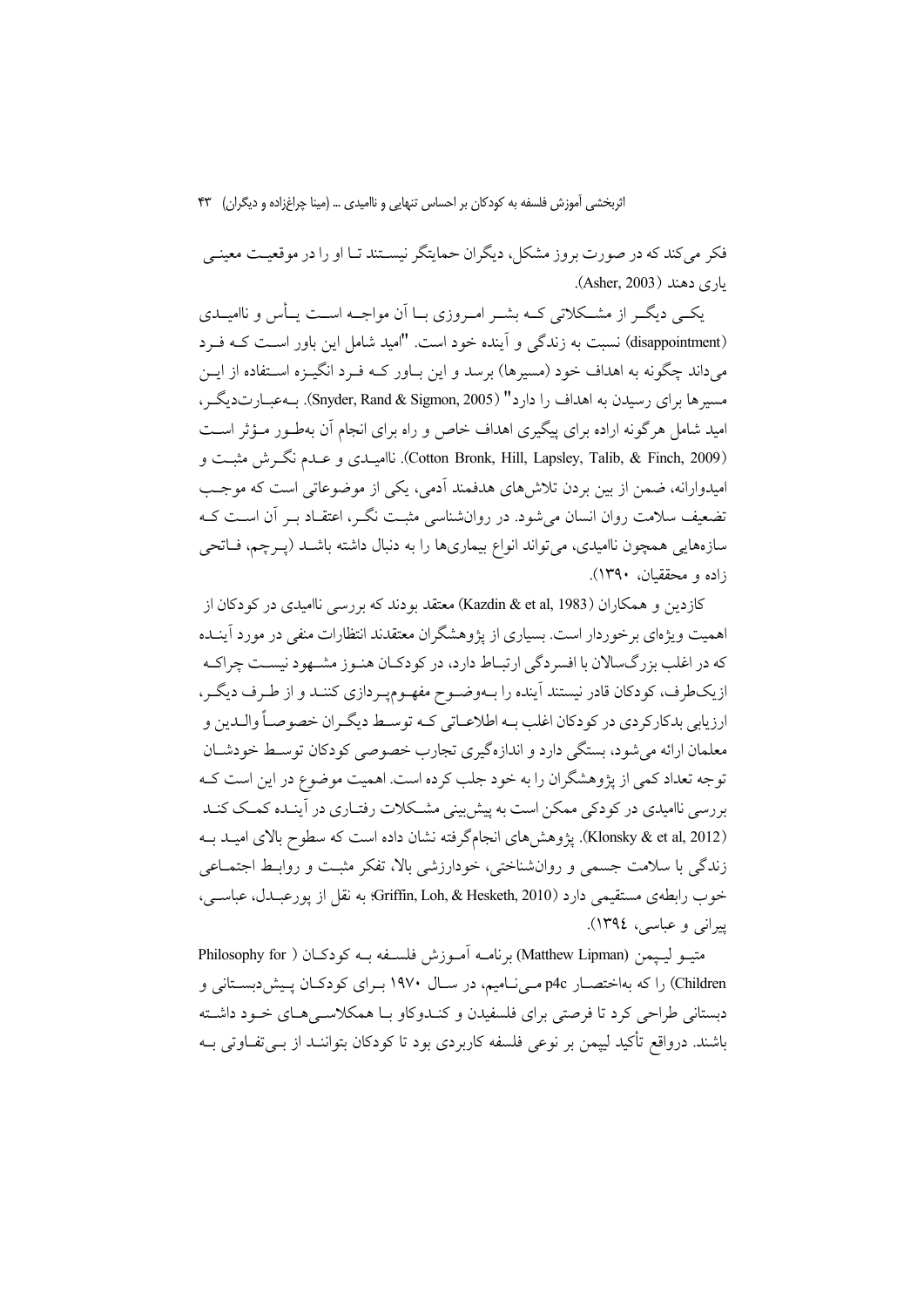فکر می کند که در صورت بروز مشکل، دیگران حمایتگر نیسـتند تـا او را در موقعیـت معینـی ياري دهند (Asher, 2003).

یکسی دیگــر از مشــکلاتی کــه بشــر امــروزی بــا اَن مواجــه اســت یــأس و ناامیــدی (disappointment) نسبت به زندگی و آینده خود است. "امید شامل این باور است کـه فـرد می داند چگونه به اهداف خود (مسیرها) برسد و این بـاور کــه فــرد انگیــزه اســتفاده از ایــن مسیرها برای رسیدن به اهداف را دارد" (Snyder, Rand & Sigmon, 2005). بــهعبــارتدیگــر ، امید شامل هر گونه اراده برای پیگیری اهداف خاص و راه برای انجام آن بهطـور مـؤثر اسـت (Cotton Bronk, Hill, Lapsley, Talib, & Finch, 2009). ناامیںدی و عسدم نگرش مثبت و امیدوارانه، ضمن از بین بردن تلاش های هدفمند آدمی، یکی از موضوعاتی است که موجب تضعیف سلامت روان انسان می شود. در روان شناسی مثبت نگـر، اعتقـاد بـر آن اسـت کـه سازههایی همچون ناامیدی، می تواند انواع بیماریها را به دنبال داشته باشـد (پـرچم، فـاتحی زاده و محققیان، ۱۳۹۰).

کازدین و همکاران (Kazdin & et al, 1983) معتقد بودند که بررسی ناامیدی در کودکان از اهمیت ویژهای برخوردار است. بسیاری از پژوهشگران معتقدند انتظارات منفی در مورد آینـده که در اغلب بزرگسالان با افسردگی ارتبـاط دارد، در کودکـان هنـوز مشـهود نيسـت چراکـه ازیکطرف، کودکان قادر نیستند آینده را بـهوضـوح مفهـومپـردازی کننـد و از طـرف دیگـر، ارزيابي بدكاركردي در كودكان اغلب بــه اطلاعــاتي كــه توســط ديگــران خصوصــاً والــدين و معلمان ارائه می شود، بستگی دارد و اندازهگیری تجارب خصوصی کودکان توسط خودشـان توجه تعداد کمی از پژوهشگران را به خود جلب کرده است. اهمیت موضوع در این است ک بررسی ناامیدی در کودکی ممکن است به پیش بینی مشکلات رفتـاری در آینـده کمـک کنـد (Klonsky & et al, 2012). يژوهش هاي انجامگرفته نشان داده است كه سطوح بالاي اميـد بـه زندگی با سلامت جسمی و روانشناختی، خودارزشی بالا، تفکر مثبت و روابط اجتمـاعی خوب رابطهی مستقیمی دارد Griffin, Loh, & Hesketh, 2010): به نقل از پورعبـدل، عباســی، پیړاني و عباسي، ١٣٩٤).

متيــو ليــيمن (Matthew Lipman) برنامــه آمــوزش فلســفه بــه كودكــان ( Philosophy for Children) را که بهاختصار p4c مـی نـامیم، در سـال ۱۹۷۰ بـرای کودکـان پـیش(دبسـتانی و دستانی طراحی کرد تا فرصتی برای فلسفیدن و کنیدوکاو بیا همکلاستی هیای خیود داشته باشند. درواقع تأكيد لييمن بر نوعي فلسفه كاربردي بود تا كودكان بتواننـد از بــي تفــاوتي بــه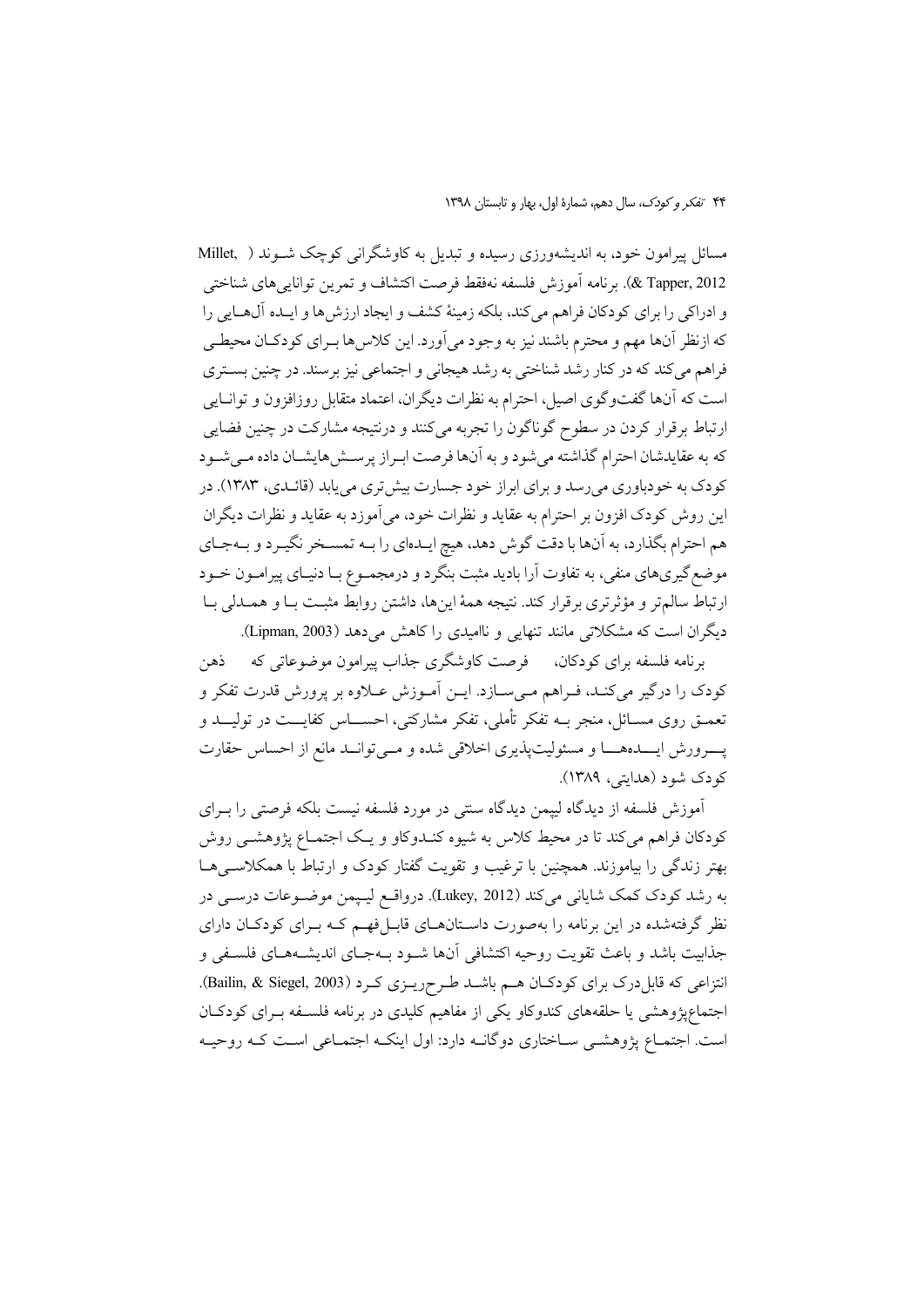مسائل پیرامون خود، به اندیشهورزی رسیده و تبدیل به کاوشگرانی کوچک شـوند ( Millet, 2012 ,X Tapper). برنامه أموزش فلسفه نهفقط فرصت اكتشاف و تمرين توانايي هاي شناختي و ادراکی را برای کودکان فراهم میکند، بلکه زمینهٔ کشف و ایجاد ارزش ها و ایـده آل@ایی را كه ازنظر آنها مهم و محترم باشند نيز به وجود مي آورد. اين كلاس ها بـراي كودكـان محيطـي فراهم می کند که در کنار رشد شناختی به رشد هیجانی و اجتماعی نیز برسند. در چنین بستری است كه آنها گفتوگوي اصيل، احترام به نظرات ديگران، اعتماد متقابل روزافزون و توانـايي ارتباط برقرار كردن در سطوح گوناگون را تجربه مىكنند و درنتيجه مشاركت در چنين فضايى كه به عقايدشان احترام گذاشته مى شود و به آنها فرصت ابـراز پرسـش۵هايشــان داده مــى شــود کودک به خودباوری می رسد و برای ابراز خود جسارت بیش تری می یابد (قائـدی، ۱۳۸۳). در این روش کودک افزون بر احترام به عقاید و نظرات خود، میآموزد به عقاید و نظرات دیگران هم احترام بگذارد، به آنها با دقت گوش دهد، هیچ ایـدهای را بـه تمسـخر نگیـرد و بـهجـای موضع گیریهای منفی، به تفاوت آرا بادید مثبت بنگرد و درمجمـوع بـا دنیـای پیرامـون خـود ارتباط سالم تر و مؤثرتري برقرار كند. نتيجه همهٔ اينها، داشتن روابط مثبت بـا و همــدلي بـا دیگران است که مشکلاتی مانند تنهایی و ناامیدی را کاهش می دهد (Lipman, 2003).

برنامه فلسفه برای کودکان، فرصت کاوشگری جذاب پیرامون موضوعاتی که ذهن كودك را درگير ميكند، فـراهم مـيسـازد. ايـن أمـوزش عـلاوه بر پرورش قدرت تفكر و تعمــق روی مســائل، منجر بــه تفکر تأملی، تفکر مشارکتی، احســــاس کفایــــت در تولیــــد و پسرورش ایسدههسا و مسئولیتپذیری اخلاقی شده و مسی توانسد مانع از احساس حقارت کودک شود (هدایتی، ۱۳۸۹).

آموزش فلسفه از دیدگاه لیپمن دیدگاه سنتی در مورد فلسفه نیست بلکه فرصتی را بـرای کودکان فراهم میکند تا در محیط کلاس به شیوه کنـدوکاو و یـک اجتمـاع پژوهشــی روش بهتر زندگی را بیاموزند. همچنین با ترغیب و تقویت گفتار کودک و ارتباط با همکلاسهیها به رشد کودک کمک شایانی میکند (Lukey, 2012). درواقع لیپمن موضوعات درسـی در نظر گرفتهشده در این برنامه را بهصورت داسـتان۱صای قابــا فهــم کــه بــرای کودکــان دارای جذابيت باشد و باعث تقويت روحيه اكتشافي أنها شـود بـهجـاي انديشـههـاي فلسـفي و انتزاعی که قابل درک برای کودکان هم باشـد طرحریـزی کرد (Bailin, & Siegel, 2003). اجتماعیژوهشی یا حلقههای کندوکاو یکی از مفاهیم کلیدی در برنامه فلسـفه بـرای کودکـان است. اجتمـاع پژوهشـي سـاختاري دوگانــه دارد: اول اينكــه اجتمـاعي اسـت كــه روحيــه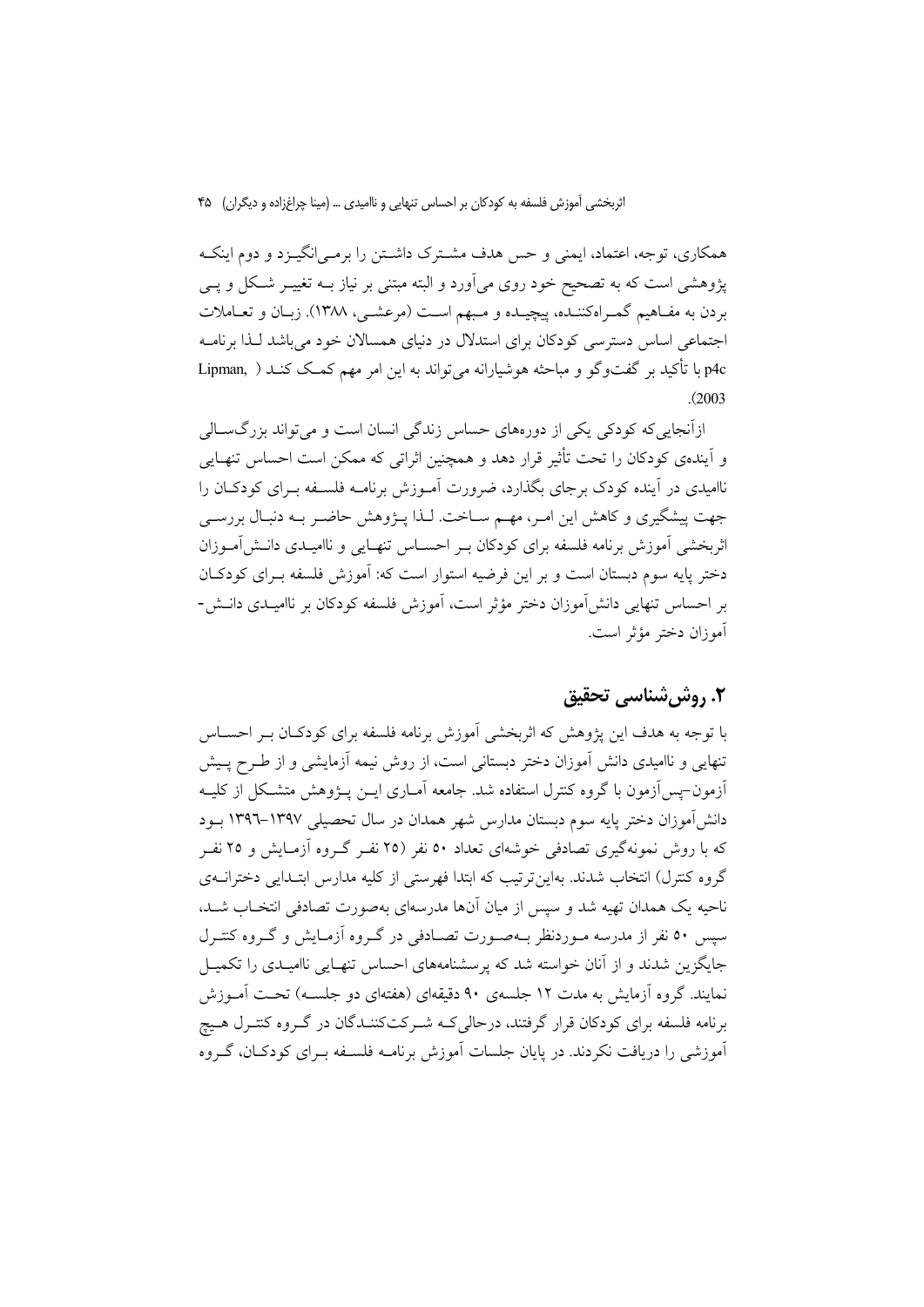همکاری، توجه، اعتماد، ایمنی و حس هدف مشـترک داشـتن را برمـی|نگیـزد و دوم اینکـه یژوهشی است که به تصحیح خود روی می[ورد و البته مبتنی بر نیاز بــه تغییــر شــکل و یــی بردن به مفـاهیم گمـراهکننـده، پیچیـده و مـبهم اسـت (مرعشــی، ۱۳۸۸). زبـان و تعــاملات اجتماعی اساس دسترسی کودکان برای استدلال در دنیای همسالان خود می باشد لـذا برنامـه p4c با تأكيد بر گفتوگو و مباحثه هوشيارانه مي تواند به اين امر مهم كمك كنـد ( .Lipman  $(2003)$ 

ازآنجایی که کودکی یکی از دورههای حساس زندگی انسان است و می تواند بزرگ سالی و اَیندهی کودکان را تحت تأثیر قرار دهد و همچنین اثراتی که ممکن است احساس تنهـایی ناامیدی در آینده کودک برجای بگذارد، ضرورت آمـوزش برنامـه فلســفه بــرای کودکــان را جهت پیشگیری و کاهش این امـر، مهـم سـاخت. لـذا پـژوهش حاضـر بـه دنبـال بررسـی اثربخشی آموزش برنامه فلسفه برای کودکان بـر احسـاس تنهـایی و ناامیـدی دانــش|مــوزان دختر پایه سوم دبستان است و بر این فرضیه استوار است که: آموزش فلسفه بـرای کودکـان بر احساس تنهایی دانش آموزان دختر مؤثر است، آموزش فلسفه کودکان بر ناامیـدی دانــش-آموزان دختر مؤثر است.

# ٢. روش شناسي تحقيق

با توجه به هدف این پژوهش که اثربخشی آموزش برنامه فلسفه برای کودکـان بـر احســاس تنهایی و ناامیدی دانش آموزان دختر دبستانی است، از روش نیمه آزمایشی و از طـرح پـیش أزمون-پس أزمون با گروه كنترل استفاده شد. جامعه آمـاري ايــن پــژوهش متشــكل از كليــه دانش آموزان دختر پایه سوم دبستان مدارس شهر همدان در سال تحصیلی ۱۳۹۷–۱۳۹۲ بـود که با روش نمونهگیری تصادفی خوشهای تعداد ٥٠ نفر (٢٥ نفیر گیروه آزمیایش و ٢٥ نفیر گروه کنترل) انتخاب شدند. بهاین تر تیب که ابتدا فهرستی از کلیه مدارس ابتـدایی دخترانــهی ناحیه یک همدان تهیه شد و سپس از میان آنها مدرسهای بهصورت تصادفی انتخـاب شـد. سپس ٥٠ نفر از مدرسه مـوردنظر بـهصـورت تصـادفي در گـروه آزمـايش و گـروه كنتـرل جایگزین شدند و از آنان خواسته شد که پرسشنامههای احساس تنهـایی ناامیـدی را تکمیـل نمایند. گروه آزمایش به مدت ۱۲ جلسهی ۹۰ دقیقهای (هفتهای دو جلسـه) تحـت آمـوزش برنامه فلسفه برای کودکان قرار گرفتند، درحالی کـه شـرکتکننــدگان در گــروه کنتــرل هــیچ آموزشی را دریافت نکردند. در پایان جلسات آموزش برنامـه فلسـفه بـرای کودکــان، گــروه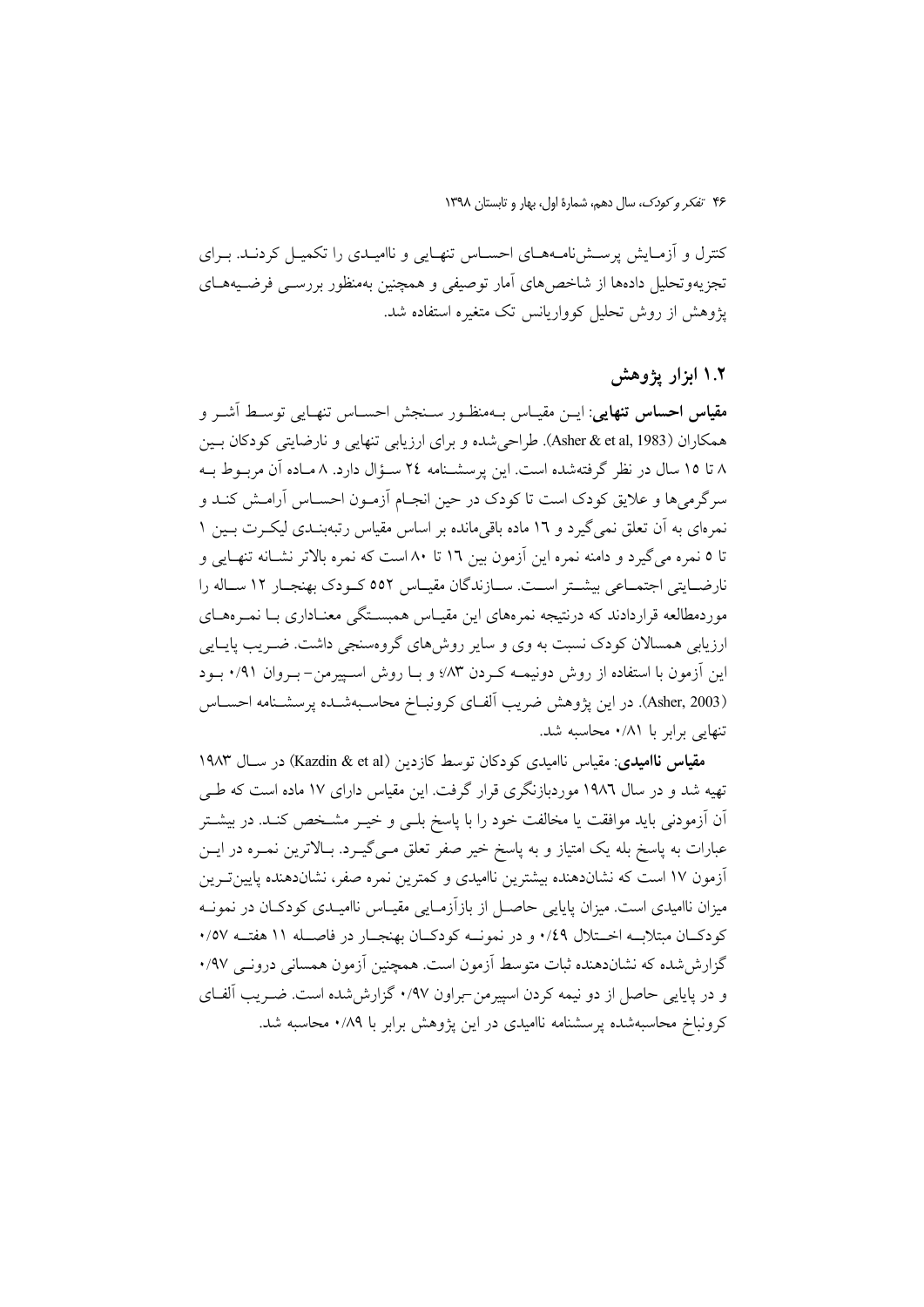کنترل و اَزمـایش پرســشiامــههــای احســاس تنهــایی و ناامیــدی را تکمیــل کردنــد. بــرای تجزیهوتحلیل دادهها از شاخص های آمار توصیفی و همچنین بهمنظور بررســی فرضــیههــای یژوهش از روش تحلیل کوواریانس تک متغیره استفاده شد.

## ۱.۲ ابزار یژوهش

م**قياس احساس تنهايي**: ايــن مقيــاس بــهمنظـور ســنجش احســاس تنهـايي توســط آشــر و همكاران (Asher & et al, 1983). طراحي شده و براي ارزيابي تنهايي و نارضايتي كودكان بـين ۸ تا ۱۵ سال در نظر گرفتهشده است. این پرسشـنامه ۲٤ سـؤال دارد. ۸ مـاده آن مربـوط بـه سرگرمیها و علایق کودک است تا کودک در حین انجـام آزمـون احسـاس آرامـش کنـد و نمرهای به آن تعلق نمی گیرد و ۱۲ ماده باقیمانده بر اساس مقیاس رتبهبنـدی لیکـرت بــین ۱ تا ٥ نمره مي گيرد و دامنه نمره اين آزمون بين ١٦ تا ٨٠ است كه نمره بالاتر نشـانه تنهـايي و نارضـایتی اجتمـاعی بیشـتر اسـت. سـازندگان مقیـاس ٥٥٢ کـودک بهنجـار ١٢ سـاله را موردمطالعه قراردادند که درنتیجه نمرههای این مقیـاس همبسـتگی معنـاداری بــا نمــرههــای ارزیابی همسالان کودک نسبت به وی و سایر روش های گروهسنجی داشت. ضـریب پایــایی این آزمون با استفاده از روش دونیمــه کـردن ۸۳٪ و بــا روش اســییرمن–بــروان ۰/۹۱ بــود (Asher, 2003). در این پژوهش ضریب آلفـای کرونبــاخ محاســبهشــده پرسشــنامه احســاس تنهایی برابر با ۰/۸۱ محاسبه شد.

مقياس نااميدي: مقياس نااميدي كودكان توسط كازدين (Kazdin & et al) در سيال ۱۹۸۳ تهیه شد و در سال ۱۹۸۲ موردبازنگری قرار گرفت. این مقیاس دارای ۱۷ ماده است که طبی آن آزمودنی باید موافقت یا مخالفت خود را با پاسخ بلـی و خیــر مشــخص کنــد. در بیشــتر عبارات به پاسخ بله یک امتیاز و به پاسخ خیر صفر تعلق مـی گیــرد. بــالاترین نمــره در ایــن آزمون ١٧ است كه نشاندهنده بيشترين نااميدي و كمترين نمره صفر، نشاندهنده پايين تـرين میزان ناامیدی است. میزان پایایی حاصل از بازآزمـایی مقیـاس ناامیـدی کودکـان در نمونـه کودکــان مبتلابــه اخــتلال ١/٤٩ و در نمونــه کودکــان بهنجــار در فاصــله ١١ هفتــه ٥٧/٠ گزارش شده که نشاندهنده ثبات متوسط آزمون است. همچنین آزمون همسانی درونبی ۹۷/۰ و در پایایی حاصل از دو نیمه کردن اسپیرمن-براون ۰/۹۷ گزارش شده است. ضـریب آلفـای کرونباخ محاسبهشده پرسشنامه ناامیدی در این پژوهش برابر با ۰/۸۹ محاسبه شد.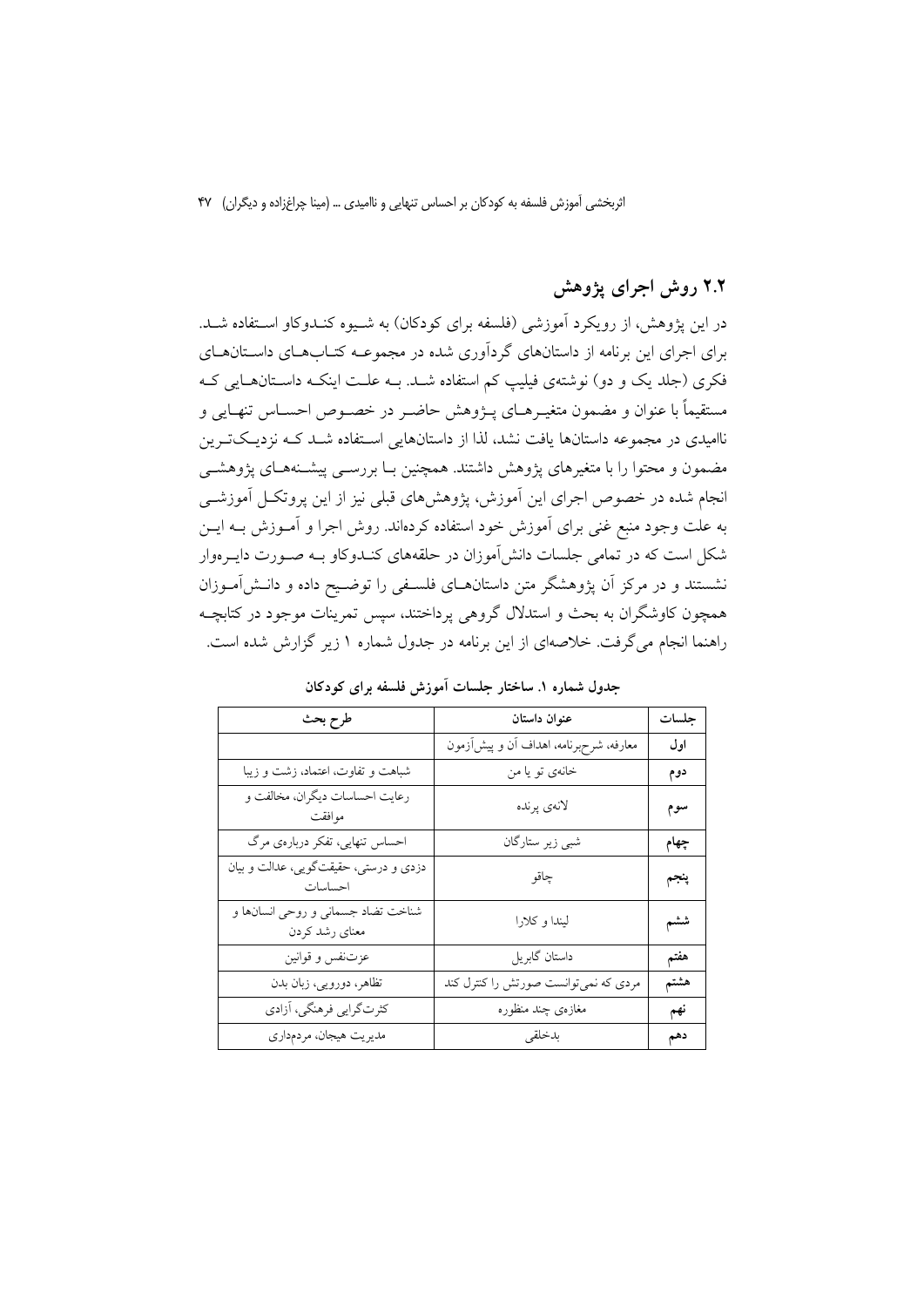# ۲.۲ روش اجرای پژوهش

در این پژوهش، از رویکرد آموزشی (فلسفه برای کودکان) به شـیوه کنـدوکاو اسـتفاده شـد. برای اجرای این برنامه از داستانهای گردآوری شده در مجموعـه کتـابهـای داسـتانهـای فکری (جلد یک و دو) نوشتهی فیلیپ کم استفاده شـد. بـه علـت اینکـه داسـتانهـایی کـه مستقيماً با عنوان و مضمون متغيــرهــاي پــژوهش حاضــر در خصــوص احســاس تنهــايي و ناامیدی در مجموعه داستانها یافت نشد، لذا از داستانهایی اسـتفاده شــد کــه نزدیــکتــرین مضمون و محتوا را با متغیرهای یژوهش داشتند. همچنین بـا بررســی پیشــنههــای یژوهشــی انجام شده در خصوص اجرای این آموزش، پژوهشهای قبلی نیز از این پروتکــل آموزشــی به علت وجود منبع غنی برای آموزش خود استفاده کردهاند. روش اجرا و آمـوزش بــه ایــن شکل است که در تمامی جلسات دانش آموزان در حلقههای کنـدوکاو بـه صـورت دایـرهوار نشستند و در مرکز آن یژوهشگر متن داستانهــای فلســفی را توضــیح داده و دانــش|مــوزان همچون کاوشگران به بحث و استدلال گروهی پرداختند، سپس تمرینات موجود در کتابچـه راهنما انجام می گرفت. خلاصهای از این برنامه در جدول شماره ۱ زیر گزارش شده است.

| طرح بحث                                              | عنوان داستان                           | جلسات |
|------------------------------------------------------|----------------------------------------|-------|
|                                                      | معارفه، شرحبرنامه، اهداف أن و پیش[زمون | اول   |
| شباهت و تفاوت، اعتماد، زشت و زیبا                    | خانەي تو يا من                         | دوم   |
| رعايت احساسات ديگران، مخالفت و<br>موافقت             | لانەي پرندە                            | سوم   |
| احساس تنهایی، تفکر دربارهی مرگ                       | شبی زیر ستارگان                        | چهام  |
| دزدی و درستی، حقیقتگویی، عدالت و بیان<br>احساسات     | چاقو                                   | پنجم  |
| شناخت تضاد جسماني و روحي انسانها و<br>معناي رشد كردن | ليندا و كلارا                          | ششم   |
| عزتنفس و قوانين                                      | داستان گابريل                          | هفتم  |
| تظاهر، دورویی، زبان بدن                              | مردی که نمیتوانست صورتش را کنترل کند   | هشتم  |
| كثرتگرايي فرهنگي، آزادي                              | مغازەي چند منظوره                      | نهم   |
| مديريت هيجان، مردمداري                               | بدخلقى                                 | دهم   |

جدول شماره ۱. ساختار جلسات آموزش فلسفه برای کودکان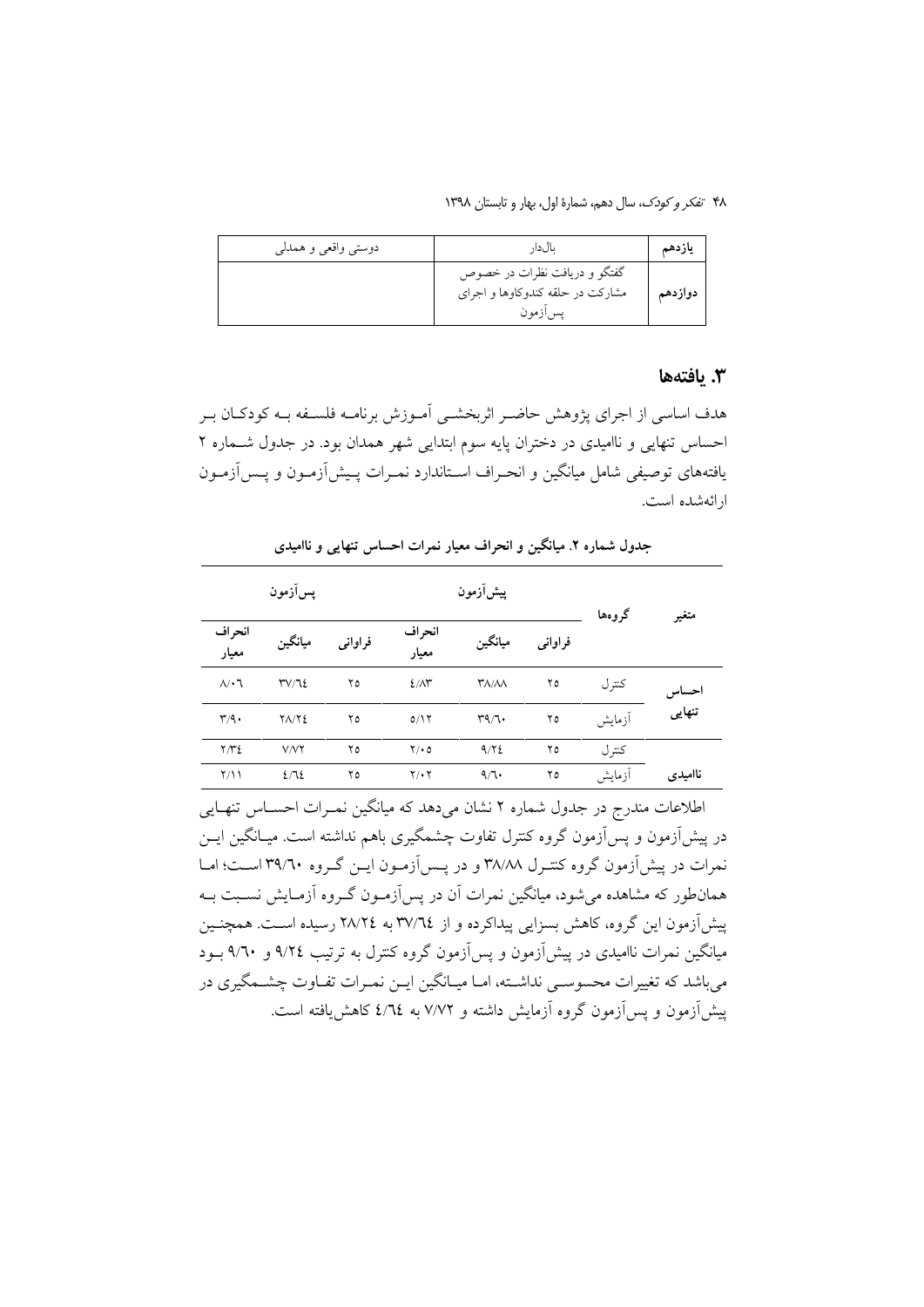۴۸ تفکر و کودک، سال دهم، شمارهٔ اول، بهار و تابستان ۱۳۹۸

| دوستي واقعي و همدلي | ىالدار                                                                       | ياز دهم |
|---------------------|------------------------------------------------------------------------------|---------|
|                     | گفتگو و دریافت نظرات در خصوص<br>مشارکت در حلقه کندوکاوها و اجرای<br>يس ازمون | دوازدهم |

#### 3. يافتەھا

هدف اساسی از اجرای پژوهش حاضـر اثربخشـی آمـوزش برنامـه فلسـفه بــه کودکـان بـر احساس تنهایی و ناامیدی در دختران پایه سوم ابتدایی شهر همدان بود. در جدول شماره ۲ یافتههای توصیفی شامل میانگین و انحـراف اسـتاندارد نمـرات پـیش[زمـون و پـس[زمـون ارائهشده است.

جدول شماره ۲. میانگین و انحراف معیار نمرات احساس تنهایی و ناامیدی

|         | گروهها |         | پسآزمون<br>پیشآزمون                   |                 |         |              |                   |
|---------|--------|---------|---------------------------------------|-----------------|---------|--------------|-------------------|
| متغير   |        | فراواني | ميانگين                               | انحراف<br>معيار | فراوانى | ميانگين      | انحراف<br>معيار   |
| احساس   | كترل   | ۲٥      | $\mathsf{r}_{\Lambda/\Lambda\Lambda}$ | $2/\lambda^*$   | ۲٥      | TV/T2        | $\Lambda/\cdot$ 7 |
| تنهایی  | أزمايش | ۲٥      | $r\gamma\gamma\cdot$                  | 0/17            | ۲٥      | $Y\Lambda/Y$ | r/q.              |
|         | کتر ل  | ۲٥      | 9/72                                  | $Y \cdot 0$     | ۲٥      | V/VY         | Y/YZ              |
| ناامیدی | أزمايش | ۲٥      | 4/7.                                  | $Y/\cdot Y$     | ۲٥      | 2/72         | Y/11              |

اطلاعات مندرج در جدول شماره ۲ نشان می دهد که میانگین نمـرات احســاس تنهــایی در پیشآزمون و پسآزمون گروه کنترل تفاوت چشمگیری باهم نداشته است. میـانگین ایــن نمرات در پیش آزمون گروه کنتـرل ۳۸/۸۸ و در پـس|زمـون ایــن گـروه ۳۹/٦۰ اســت؛ امــا همانطور که مشاهده می شود، میانگین نمرات آن در پس آزمـون گـروه آزمـایش نسـبت بـه پیش آزمون این گروه، کاهش بسزایی پیداکرده و از ۳۷/٦٤ به ٢٨/٢٤ رسیده است. همچنـین میانگین نمرات ناامیدی در پیشآزمون و پسآزمون گروه کنترل به ترتیب ۹/۲٤ و ۹/٦٠ بـود میباشد که تغییرات محسوسـی نداشـته، امـا میـانگین ایـن نمـرات تفـاوت چشـمگیری در پیش[زمون و پس[زمون گروه آزمایش داشته و ۷/۷۲ به ٤/٦٤ کاهش یافته است.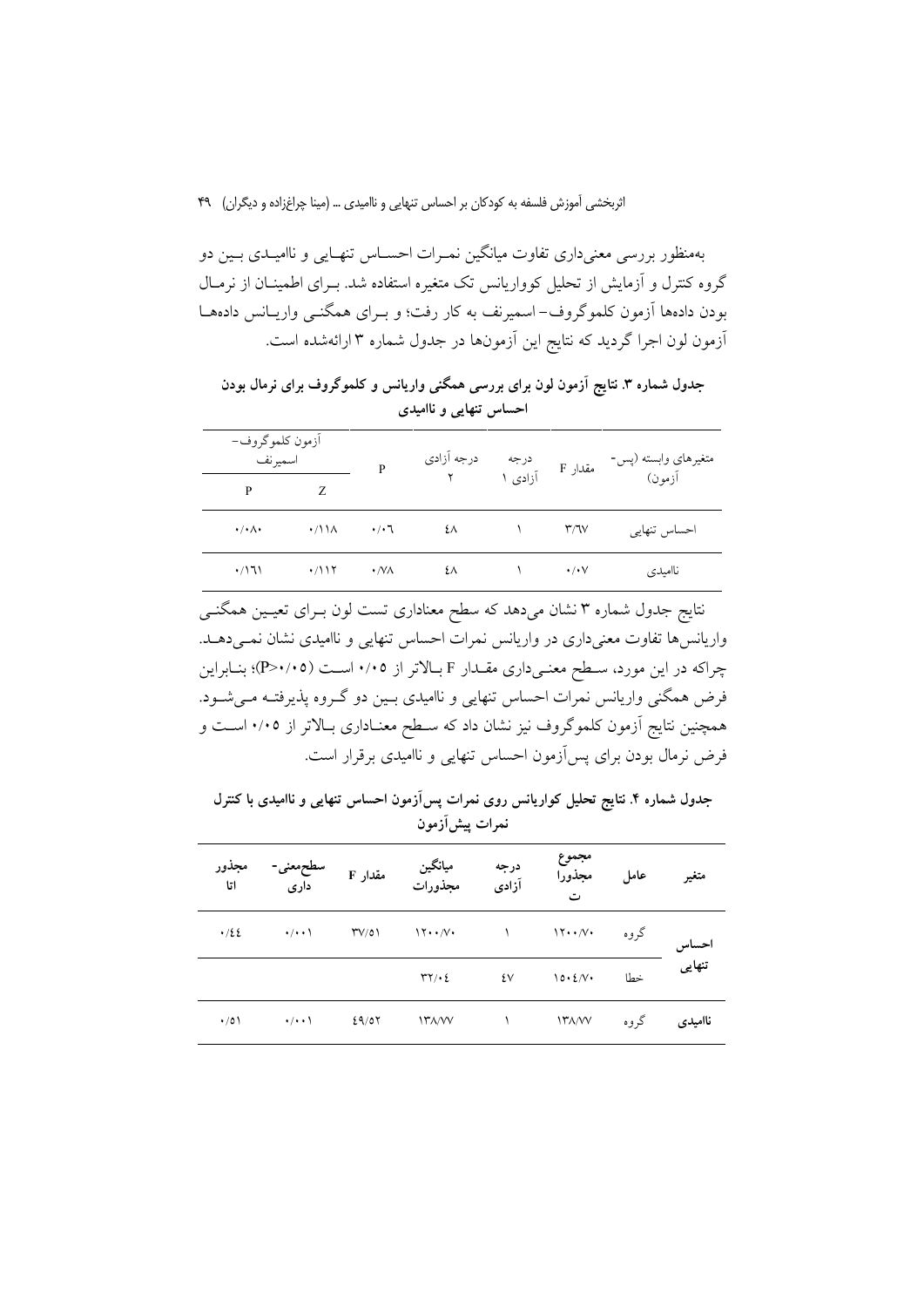بهمنظور بررسی معنی داری تفاوت میانگین نمـرات احسـاس تنهـایی و ناامیـدی بـین دو گروه کنترل و آزمایش از تحلیل کوواریانس تک متغیره استفاده شد. بـرای اطمینــان از نرمــال بودن دادهها آزمون کلموگروف-اسمیرنف به کار رفت؛ و بـرای همگنـی واریـانس دادههـا أزمون لون اجرا گردید که نتایج این آزمونها در جدول شماره ۳ ارائهشده است.

جدول شماره ۳. نتایج آزمون لون برای بررسی همگنی واریانس و کلموگروف برای نرمال بودن احساس تنهایی و ناامیدی

|                             | آزمون كلموگروف-<br>اسميرنف |                     | درجه أزادي | درجه در<br>مقدار F آزادی ۱ |                          | متغیرهای وابسته (پس- |  |
|-----------------------------|----------------------------|---------------------|------------|----------------------------|--------------------------|----------------------|--|
| P                           |                            | P                   |            |                            |                          | ۔ جسہ<br>آزمون)      |  |
| $\cdot/\cdot$ $\wedge\cdot$ | $\cdot$ /\\ $\Lambda$      | $\cdot$ / $\cdot$ 7 | ٤٨         |                            | $\mathsf{r}/\mathsf{v}$  | احساس تنهایی         |  |
| ۰/۱٦۱                       | $\cdot$ /۱۱۲               | $\cdot$ /VA         | ٤٨         |                            | $\cdot$ / $\cdot$ $\vee$ | ناامیدی              |  |

نتایج جدول شماره ۳ نشان میدهد که سطح معناداری تست لون بـرای تعیـین همگنـی واریانسها تفاوت معنیداری در واریانس نمرات احساس تنهایی و ناامیدی نشان نمی دهـد. چراکه در این مورد، سـطح معنـیداری مقــدار F بــالاتر از ۰/۰۵ اســت (۳>۰/۰۵)؛ بنــابراین فرض همگنی واریانس نمرات احساس تنهایی و ناامیدی بـین دو گـروه پذیرفتـه مـیشـود. همچنین نتایج آزمون کلموگروف نیز نشان داد که سـطح معنـاداری بـالاتر از ۰/۰۵ اسـت و فرض نرمال بودن برای پس آزمون احساس تنهایی و ناامیدی برقرار است.

جدول شماره ۴. نتایج تحلیل کواریانس روی نمرات پسآزمون احساس تنهایی و ناامیدی با کنترل نمرات پیش آزمون

| مجذور<br>اتا | ے<br>داری                       | مقدار F        | میانگین<br>مجذورات                    | درجه<br>آزادى | مجموع<br>مجذورا<br>ت                        | عامل |                        |
|--------------|---------------------------------|----------------|---------------------------------------|---------------|---------------------------------------------|------|------------------------|
| .122         | $\rightarrow$ / $\rightarrow$ \ | $\Upsilon V/0$ | $\mathcal{N} \cdot \mathcal{N} \cdot$ |               | $\mathcal{N} \cdot \cdot \mathcal{N} \cdot$ | گروه |                        |
|              |                                 |                | $\Upsilon \Upsilon / \cdot \Sigma$    | ٤٧            | $10.2/\sqrt{1}$                             | خطا  | حساس<br>تنهای <i>ی</i> |
| $\cdot/0$    | $\cdot/\cdot\cdot$              | 29/07          | ITA/VV                                |               | $17\lambda/VV$                              | گروه | نااميدى                |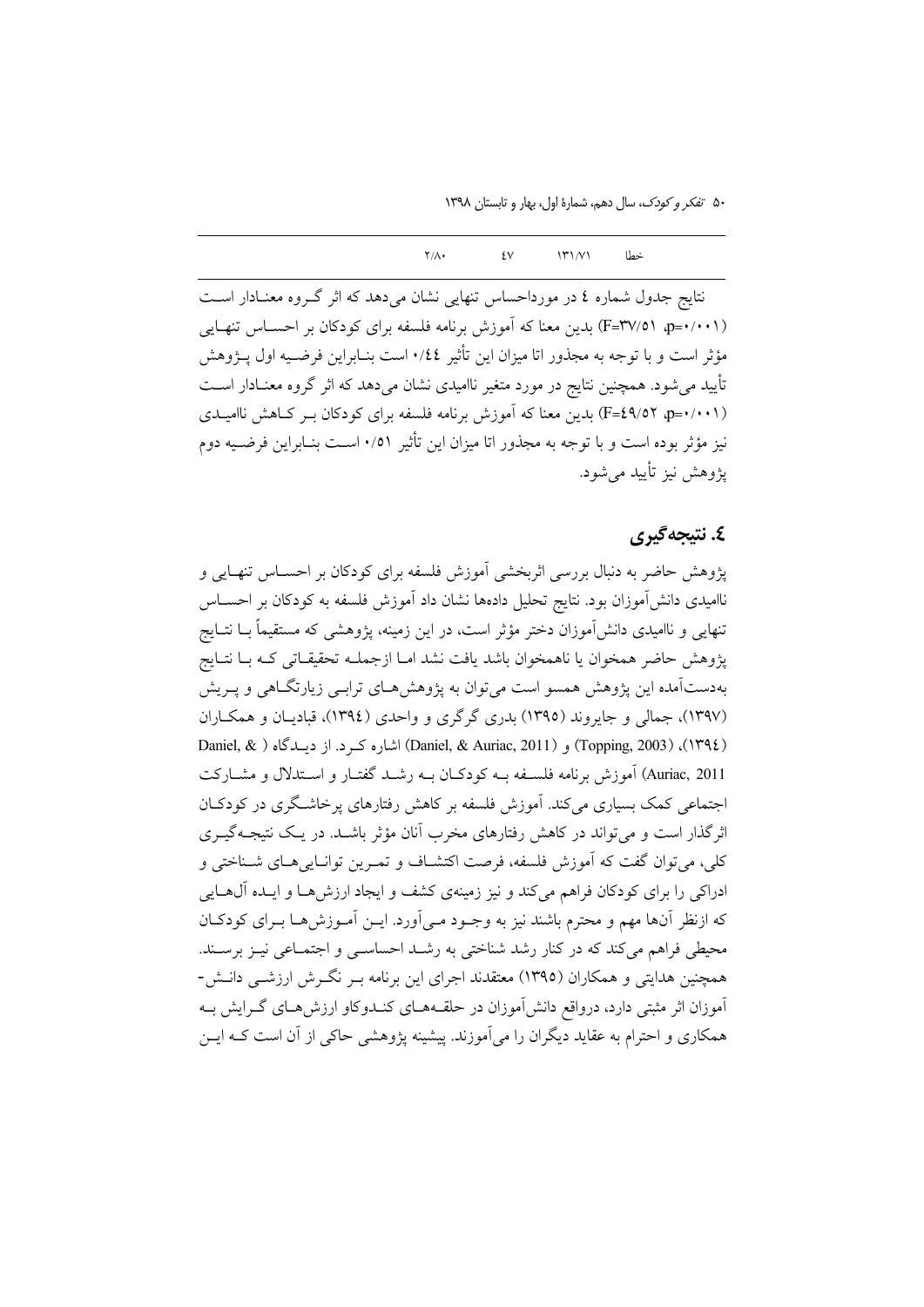۵۰ تفکر و کودک، سال دهم، شمارهٔ اول، بهار و تابستان ۱۳۹۸

 $\mathcal{W}(N)$  $Y/\Lambda$  $\sqrt{ }$ خطا

نتایج جدول شماره ٤ در مورداحساس تنهایی نشان می دهد که اثر گـروه معنـادار اسـت (F=۳۷/٥۱ ap=۰/۰۰۱) بدین معنا که آموزش برنامه فلسفه برای کودکان بر احسـاس تنهـایی مؤثر است و با توجه به مجذور اتا میزان این تأثیر ٠/٤٤ است بنـابراین فرضـیه اول پــژوهش تأیید می شود. همچنین نتایج در مورد متغیر ناامیدی نشان می دهد که اثر گروه معنـادار اسـت (F=٤٩/٥٢ هـ)(F=٤٩) بدين معنا كه آموزش برنامه فلسفه براي كودكان بـر كـاهش نااميـدي نیز مؤثر بوده است و با توجه به مجذور اتا میزان این تأثیر ۰/۵۱ اسـت بنـابراین فرضـیه دوم یژوهش نیز تأیید مے شود.

## ٤. نتىجەگىرى

یژوهش حاضر به دنبال بررسی اثربخشی آموزش فلسفه برای کودکان بر احسـاس تنهـایی و ناامیدی دانشآموزان بود. نتایج تحلیل دادهها نشان داد آموزش فلسفه به کودکان بر احســاس تنهایی و ناامیدی دانشآموزان دختر مؤثر است، در این زمینه، پژوهشی که مستقیماً بــا نتــایج پژوهش حاضر همخوان يا ناهمخوان باشد يافت نشد امـا ازجملـه تحقيقـاتي كـه بـا نتـايج بهدستآمده این پژوهش همسو است می توان به پژوهش هـای ترابـی زیارتگـاهی و پـریش (۱۳۹۷)، جمالی و جایروند (۱۳۹۵) بدری گرگری و واحدی (۱۳۹٤)، قبادیـان و همکـاران (١٣٩٤)، (Topping, 2003) و (Daniel, & Auriac, 2011) اشاره كرد. از ديبدگاه ( Daniel, & Auriac, 2011) آموزش برنامه فلســفه بــه كودكــان بــه رشــد گفتــار و اســتدلال و مشــاركت اجتماعی کمک بسیاری میکند. آموزش فلسفه بر کاهش رفتارهای پرخاشگری در کودکـان اثرگذار است و می تواند در کاهش رفتارهای مخرب آنان مؤثر باشـد. در یـک نتیجـهگیــری كلي، مي توان گفت كه آموزش فلسفه، فرصت اكتشـاف و تمـرين توانـاييهـاي شـناختي و ادراکی را برای کودکان فراهم میکند و نیز زمینهی کشف و ایجاد ارزش هـا و ایــده آل@ــایی که ازنظر آنها مهم و محترم باشند نیز به وجـود مـی]ورد. ایــن آمـوزش۵هـا بــرای کودکــان محیطی فراهم میکند که در کنار رشد شناختی به رشـد احساسـی و اجتمـاعی نیـز برسـند. همچنین هدایتی و همکاران (١٣٩٥) معتقدند اجرای این برنامه بـر نگـرش ارزشــی دانـش-آموزان اثر مثبتی دارد، درواقع دانش[موزان در حلقـههــای کنــدوکاو ارزش،هــای گــرایش بــه همکاری و احترام به عقاید دیگران را می آموزند. پیشینه پژوهشی حاکی از آن است کـه ایــن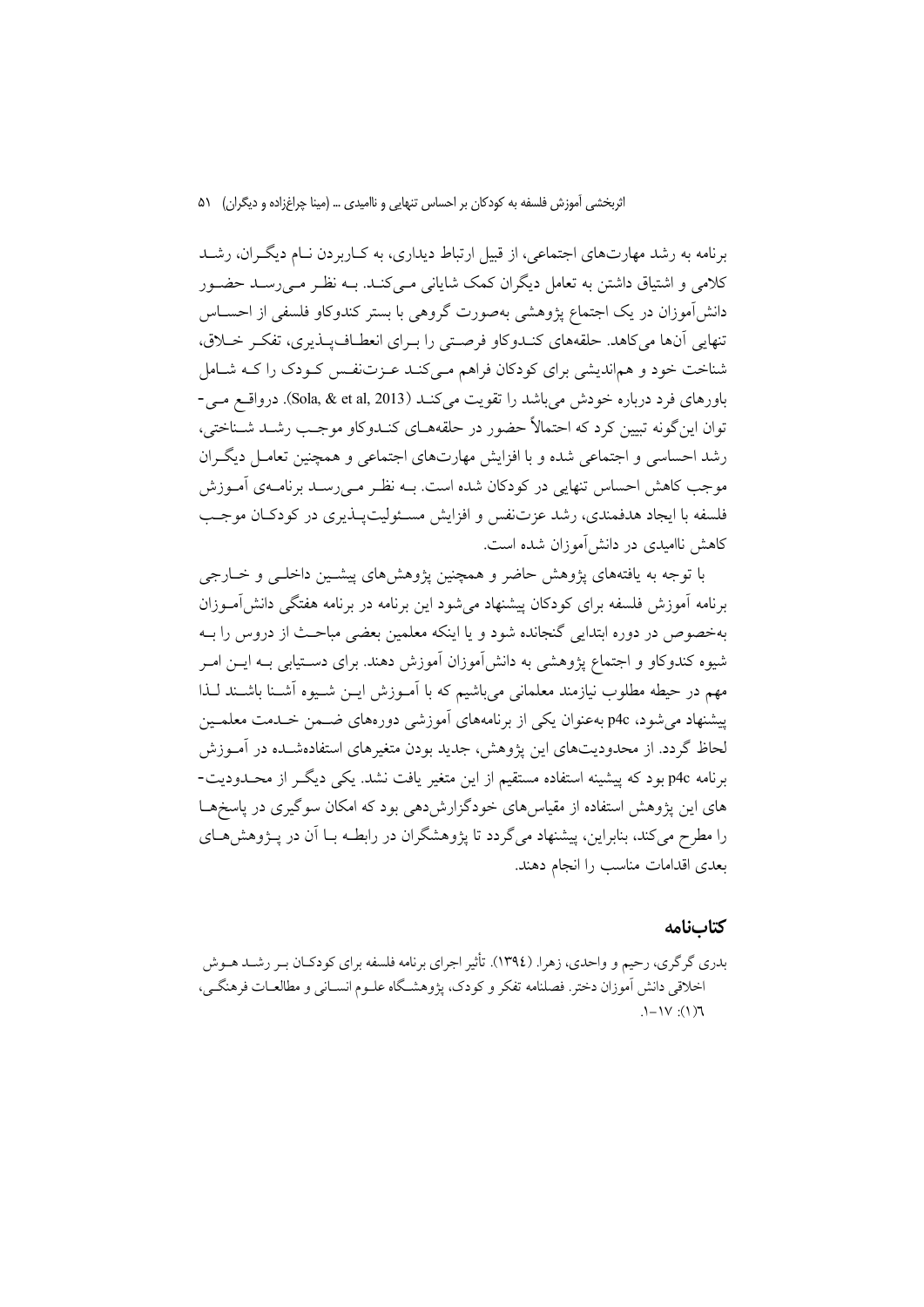برنامه به رشد مهارتهای اجتماعی، از قبیل ارتباط دیداری، به کـاربردن نـام دیگـران، رشـد کلامی و اشتیاق داشتن به تعامل دیگران کمک شایانی مـی کنــد. بــه نظــر مــی(ســد حضــور دانشآموزان در یک اجتماع پژوهشی بهصورت گروهی با بستر کندوکاو فلسفی از احسـاس تنهایی آنها می کاهد. حلقههای کنـدوکاو فرصـتی را بـرای انعطـاف بـذیری، تفکـر خـلاق، شناخت خود و هماندیشی برای کودکان فراهم مـیکنـد عـزتنفـس کـودک را کـه شـامل باورهای فرد درباره خودش می باشد را تقویت میکنـد (Sola, & et al, 2013). درواقــع مــی-توان این گونه تبیین کرد که احتمالاً حضور در حلقههـای کنـدوکاو موجـب رشـد شـناختی، رشد احساسی و اجتماعی شده و با افزایش مهارتهای اجتماعی و همچنین تعامـل دیگـران موجب کاهش احساس تنهایی در کودکان شده است. بــه نظـر مــی(ســد برنامــهی آمــوزش فلسفه با ایجاد هدفمندی، رشد عزتنفس و افزایش مسئولیتپـذیری در کودکـان موجـب کاهش ناامیدی در دانش آموزان شده است.

با توجه به یافتههای پژوهش حاضر و همچنین پژوهشهای پیشـین داخلـی و خـارجی برنامه آموزش فلسفه برای کودکان پیشنهاد می شود این برنامه در برنامه هفتگی دانش آمـوزان بهخصوص در دوره ابتدایی گنجانده شود و یا اینکه معلمین بعضی مباحـث از دروس را بــه شیوه کندوکاو و اجتماع پژوهشی به دانشآموزان آموزش دهند. برای دسـتیابی بــه ایــن امــر مهم در حیطه مطلوب نیازمند معلمانی میباشیم که با آمـوزش ایــن شـیوه آشــنا باشــند لــذا ییشنهاد می شود، p4c بهعنوان یکی از برنامههای آموزشی دورههای ضـمن خـدمت معلمـین لحاظ گردد. از محدودیتهای این یژوهش، جدید بودن متغیرهای استفادهشـده در آمـوزش برنامه p4c بود که پیشینه استفاده مستقیم از این متغیر یافت نشد. یکی دیگر از محبدودیت-های این پژوهش استفاده از مقیاس های خودگزارش دهی بود که امکان سوگیری در پاسخ هسا را مطرح می کند، بنابراین، پیشنهاد می گردد تا یژوهشگران در رابطـه بــا آن در پــژوهش هــای بعدی اقدامات مناسب را انجام دهند.

## كتابنامه

بدري گر گري، رحيم و واحدي، زهرا. (١٣٩٤). تأثير اجراي برنامه فلسفه براي كودكـان بـر رشــد هــوش اخلاقی دانش آموزان دختر. فصلنامه تفکر و کودک، پژوهشگاه علــوم انســانی و مطالعــات فرهنگــی،  $\Gamma(1)$ :  $\forall I - I$ .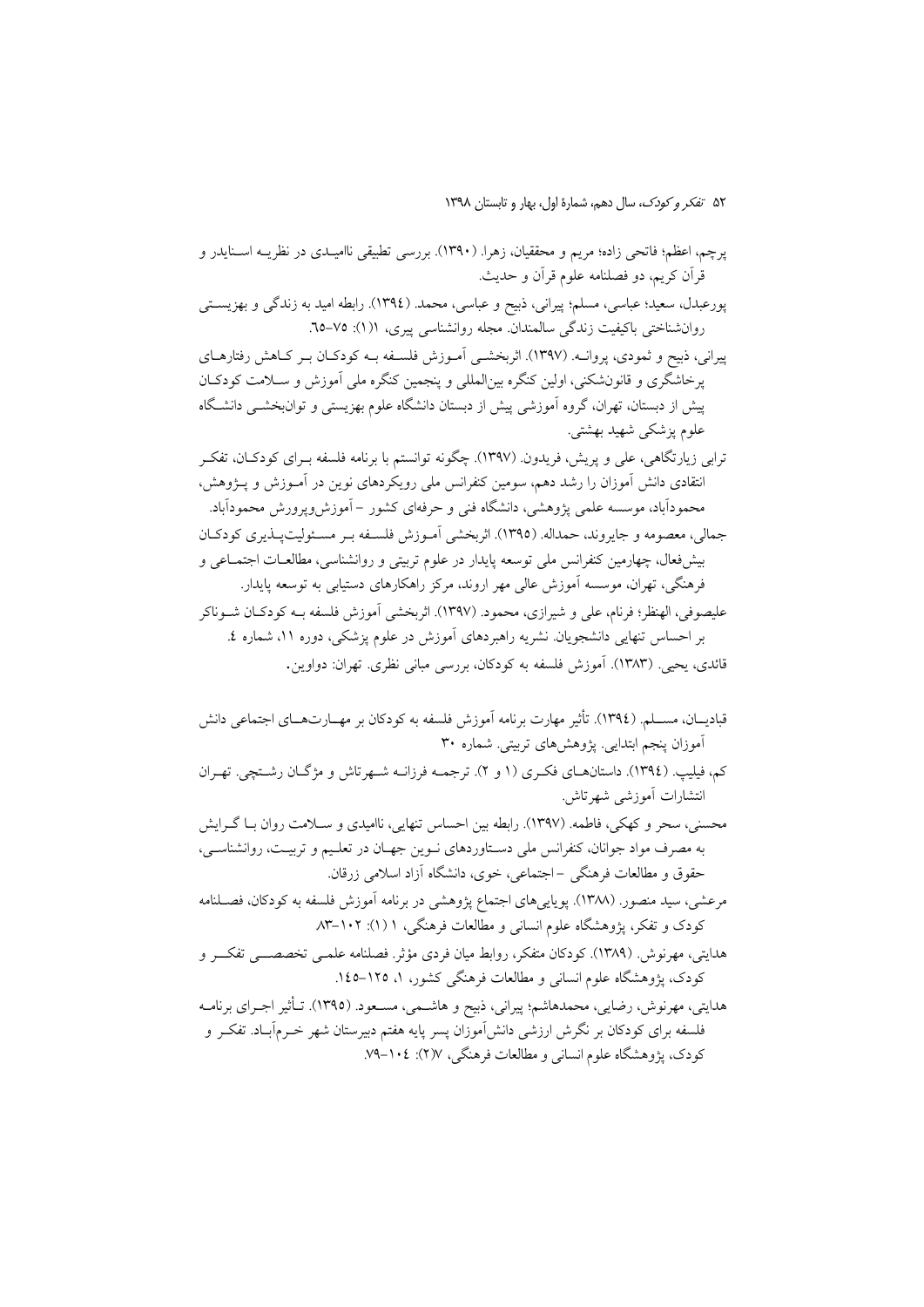- یرچم، اعظم؛ فاتحی زاده؛ مریم و محققیان، زهرا. (۱۳۹۰). بررسی تطبیقی ناامیـدی در نظریــه اســنایدر و قرآن کریم، دو فصلنامه علوم قرآن و حدیث.
- پورعبدل، سعید؛ عباسی، مسلم؛ پیرانی، ذبیح و عباسی، محمد. (١٣٩٤). رابطه امید به زندگی و بهزیستی روانشناختی باکیفیت زندگی سالمندان مجله روانشناسی پیری، ١(١): ٧٥-٦٥.

پیرانی، ذبیح و ثمودی، پروانـه. (۱۳۹۷). اثربخشـی آمـوزش فلسـفه بـه کودکـان بـر کـاهش رفتارهـای پرخاشگری و قانونشکنی، اولین کنگره بین|لمللی و پنجمین کنگره ملی آموزش و سـلامت کودکـان پیش از دبستان، تهران، گروه آموزشی پیش از دبستان دانشگاه علوم بهزیستی و توانبخشــی دانشـگاه علوم پزشکی شهید بهشتی.

- ترابی زیارتگاهی، علی و پریش، فریدون (۱۳۹۷). چگونه توانستم با برنامه فلسفه بـرای کودکـان، تفکـر انتقادی دانش آموزان را رشد دهم، سومین کنفرانس ملی رویکردهای نوین در آمـوزش و پــژوهش، محمودآباد، موسسه علمی پژوهشی، دانشگاه فنی و حرفهای کشور –آموزش٫وپرورش محمودآباد. جمالي، معصومه و جايروند، حمداله. (١٣٩٥). اثربخشي آمـوزش فلســفه بـر مسـئوليتيــذيري كودكــان بیشفعال، چهارمین کنفرانس ملی توسعه پایدار در علوم تربیتی و روانشناسی، مطالعـات اجتمــاعی و فرهنگی، تهران، موسسه آموزش عالی مهر اروند، مرکز راهکارهای دستیابی به توسعه پایدار. عليصوفي، الهنظر؛ فرنام، علي و شيرازي، محمود. (١٣٩٧). اثربخشي آموزش فلسفه بــه كودكــان شــوناكر بر احساس تنهایی دانشجویان نشریه راهبردهای آموزش در علوم پزشکی، دوره ۱۱، شماره ٤. قائدی، یحیی (۱۳۸۳). آموزش فلسفه به کودکان، بررسی مبانی نظری. تهران: دواوین.
- قبادیـــان، مســـلم. (١٣٩٤). تأثیر مهارت برنامه آموزش فلسفه به کودکان بر مهـــارتـهـــای اجتماعی دانش آموزان پنجم ابتدایی<sub>.</sub> پژوهشهای تربیتی. شماره ۳۰ کم، فیلیپ. (١٣٩٤). داستانهـای فکـری (١ و ٢). ترجمــه فرزانــه شــهرتاش و مژگــان رشــتچی. تهـران انتشارات آموزشی شهرتاش.
- محسنی، سحر و کهکی، فاطمه. (۱۳۹۷). رابطه بین احساس تنهایی، ناامیدی و سلامت روان بـا گـرایش به مصرف مواد جوانان، کنفرانس ملی دسـتاوردهای نـوین جهـان در تعلـیم و تربیـت، روانشناسـی، حقوق و مطالعات فرهنگی –اجتماعی، خوی، دانشگاه آزاد اسلامی زرقان.
- مرعشی، سید منصور. (۱۳۸۸). پویاییهای اجتماع پژوهشی در برنامه اَموزش فلسفه به کودکان، فصــلنامه کودک و تفکر، پژوهشگاه علوم انسانی و مطالعات فرهنگی، ۱ (۱): ۰۲–۸۳
- هدایتی، مهرنوش (۱۳۸۹). کودکان متفکر، روابط میان فردی مؤثر. فصلنامه علمـی تخصصــی تفکــر و کودک، یژوهشگاه علوم انسانی و مطالعات فرهنگی کشور، ۱، ۱۲۵–۱٤۵.
- هدایتی، مهرنوش، رضایی، محمدهاشم؛ پیرانی، ذبیح و هاشــمی، مســعود. (١٣٩٥). تــأثیر اجــرای برنامــه فلسفه برای کودکان بر نگرش ارزشی دانش[موزان پسر پایه هفتم دبیرستان شهر خـرم[بـاد. تفکـر و کودک، پژوهشگاه علوم انسانی و مطالعات فرهنگی، ۱۰۷٪: ۱۰٤–۷۹.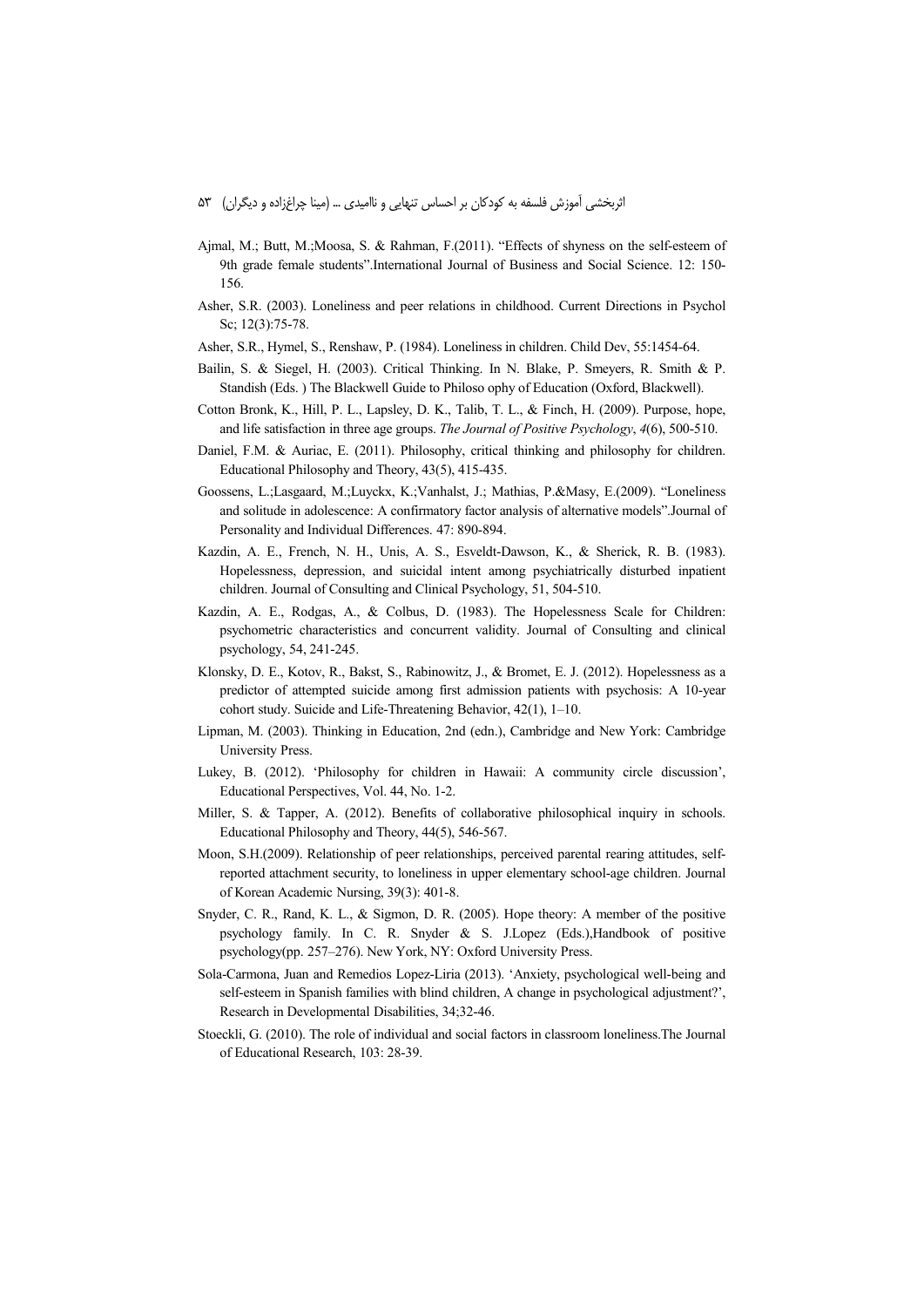- Ajmal, M.; Butt, M.;Moosa, S. & Rahman, F.(2011). "Effects of shyness on the self-esteem of 9th grade female students".International Journal of Business and Social Science. 12: 150- 156.
- Asher, S.R. (2003). Loneliness and peer relations in childhood. Current Directions in Psychol Sc; 12(3):75-78.
- Asher, S.R., Hymel, S., Renshaw, P. (1984). Loneliness in children. Child Dev, 55:1454-64.
- Bailin, S. & Siegel, H. (2003). Critical Thinking. In N. Blake, P. Smeyers, R. Smith & P. Standish (Eds. ) The Blackwell Guide to Philoso ophy of Education (Oxford, Blackwell).
- Cotton Bronk, K., Hill, P. L., Lapsley, D. K., Talib, T. L., & Finch, H. (2009). Purpose, hope, and life satisfaction in three age groups. *The Journal of Positive Psychology*, *4*(6), 500-510.
- Daniel, F.M. & Auriac, E. (2011). Philosophy, critical thinking and philosophy for children. Educational Philosophy and Theory, 43(5), 415-435.
- Goossens, L.;Lasgaard, M.;Luyckx, K.;Vanhalst, J.; Mathias, P.&Masy, E.(2009). "Loneliness and solitude in adolescence: A confirmatory factor analysis of alternative models".Journal of Personality and Individual Differences. 47: 890-894.
- Kazdin, A. E., French, N. H., Unis, A. S., Esveldt-Dawson, K., & Sherick, R. B. (1983). Hopelessness, depression, and suicidal intent among psychiatrically disturbed inpatient children. Journal of Consulting and Clinical Psychology, 51, 504-510.
- Kazdin, A. E., Rodgas, A., & Colbus, D. (1983). The Hopelessness Scale for Children: psychometric characteristics and concurrent validity. Journal of Consulting and clinical psychology, 54, 241-245.
- Klonsky, D. E., Kotov, R., Bakst, S., Rabinowitz, J., & Bromet, E. J. (2012). Hopelessness as a predictor of attempted suicide among first admission patients with psychosis: A 10-year cohort study. Suicide and Life-Threatening Behavior, 42(1), 1–10.
- Lipman, M. (2003). Thinking in Education, 2nd (edn.), Cambridge and New York: Cambridge University Press.
- Lukey, B. (2012). 'Philosophy for children in Hawaii: A community circle discussion', Educational Perspectives, Vol. 44, No. 1-2.
- Miller, S. & Tapper, A. (2012). Benefits of collaborative philosophical inquiry in schools. Educational Philosophy and Theory, 44(5), 546-567.
- Moon, S.H.(2009). Relationship of peer relationships, perceived parental rearing attitudes, selfreported attachment security, to loneliness in upper elementary school-age children. Journal of Korean Academic Nursing, 39(3): 401-8.
- Snyder, C. R., Rand, K. L., & Sigmon, D. R. (2005). Hope theory: A member of the positive psychology family. In C. R. Snyder & S. J.Lopez (Eds.),Handbook of positive psychology(pp. 257–276). New York, NY: Oxford University Press.
- Sola-Carmona, Juan and Remedios Lopez-Liria (2013). 'Anxiety, psychological well-being and self-esteem in Spanish families with blind children, A change in psychological adjustment?', Research in Developmental Disabilities, 34;32-46.
- Stoeckli, G. (2010). The role of individual and social factors in classroom loneliness.The Journal of Educational Research, 103: 28-39.